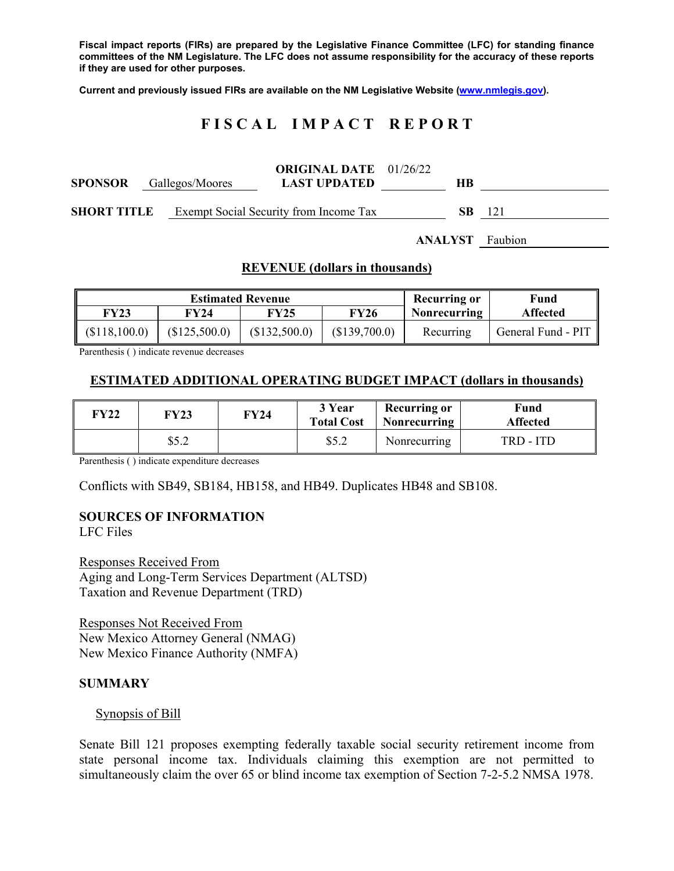**Fiscal impact reports (FIRs) are prepared by the Legislative Finance Committee (LFC) for standing finance committees of the NM Legislature. The LFC does not assume responsibility for the accuracy of these reports if they are used for other purposes.** 

**Current and previously issued FIRs are available on the NM Legislative Website (www.nmlegis.gov).** 

## **F I S C A L I M P A C T R E P O R T**

| <b>SPONSOR</b> Gallegos/Moores |  | <b>ORIGINAL DATE</b> 01/26/22<br><b>LAST UPDATED</b> | HВ  |     |
|--------------------------------|--|------------------------------------------------------|-----|-----|
| <b>SHORT TITLE</b>             |  | Exempt Social Security from Income Tax               | SB. | 121 |

**ANALYST** Faubion

#### **REVENUE (dollars in thousands)**

| <b>Estimated Revenue</b> |               |               |               | Recurring or        | Fund               |
|--------------------------|---------------|---------------|---------------|---------------------|--------------------|
| FY23                     | FY24          | FY25          | FY26          | <b>Nonrecurring</b> | <b>Affected</b>    |
| (\$118,100.0)            | (\$125,500.0) | (\$132,500.0) | (\$139,700.0) | Recurring           | General Fund - PIT |

Parenthesis ( ) indicate revenue decreases

### **ESTIMATED ADDITIONAL OPERATING BUDGET IMPACT (dollars in thousands)**

| <b>FY22</b> | <b>FY23</b> | FY24 | 3 Year<br><b>Total Cost</b> | <b>Recurring or</b><br>Nonrecurring | Fund<br><b>Affected</b> |
|-------------|-------------|------|-----------------------------|-------------------------------------|-------------------------|
|             | \$5.2       |      | \$5.2                       | Nonrecurring                        | TRD - ITD               |

Parenthesis ( ) indicate expenditure decreases

Conflicts with SB49, SB184, HB158, and HB49. Duplicates HB48 and SB108.

# **SOURCES OF INFORMATION**

LFC Files

Responses Received From Aging and Long-Term Services Department (ALTSD) Taxation and Revenue Department (TRD)

Responses Not Received From New Mexico Attorney General (NMAG) New Mexico Finance Authority (NMFA)

#### **SUMMARY**

#### Synopsis of Bill

Senate Bill 121 proposes exempting federally taxable social security retirement income from state personal income tax. Individuals claiming this exemption are not permitted to simultaneously claim the over 65 or blind income tax exemption of Section 7-2-5.2 NMSA 1978.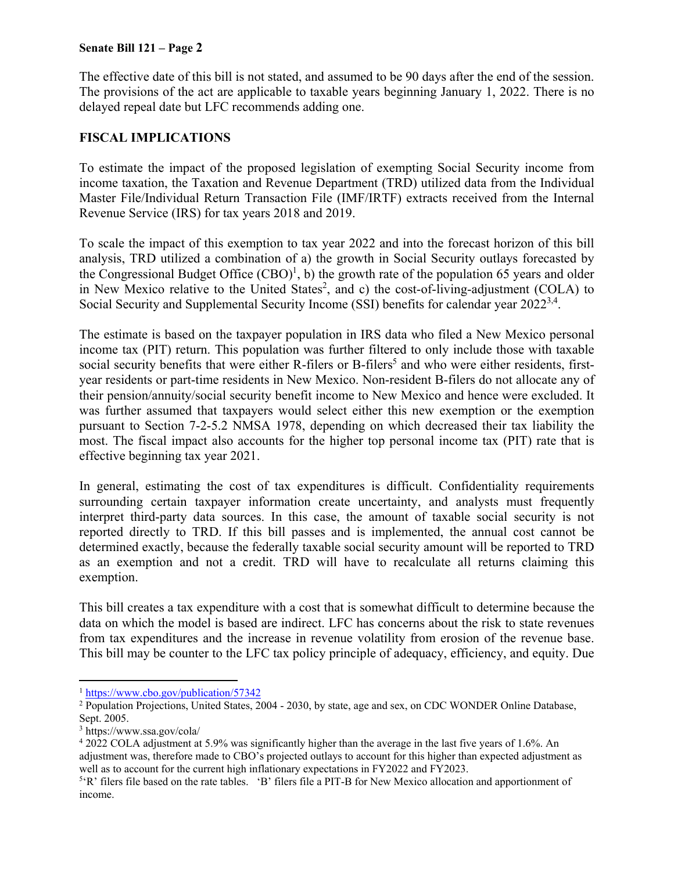The effective date of this bill is not stated, and assumed to be 90 days after the end of the session. The provisions of the act are applicable to taxable years beginning January 1, 2022. There is no delayed repeal date but LFC recommends adding one.

### **FISCAL IMPLICATIONS**

To estimate the impact of the proposed legislation of exempting Social Security income from income taxation, the Taxation and Revenue Department (TRD) utilized data from the Individual Master File/Individual Return Transaction File (IMF/IRTF) extracts received from the Internal Revenue Service (IRS) for tax years 2018 and 2019.

To scale the impact of this exemption to tax year 2022 and into the forecast horizon of this bill analysis, TRD utilized a combination of a) the growth in Social Security outlays forecasted by the Congressional Budget Office  $(CBO)^1$ , b) the growth rate of the population 65 years and older in New Mexico relative to the United States<sup>2</sup>, and c) the cost-of-living-adjustment (COLA) to Social Security and Supplemental Security Income (SSI) benefits for calendar year 2022<sup>3,4</sup>.

The estimate is based on the taxpayer population in IRS data who filed a New Mexico personal income tax (PIT) return. This population was further filtered to only include those with taxable social security benefits that were either R-filers or B-filers<sup>5</sup> and who were either residents, firstyear residents or part-time residents in New Mexico. Non-resident B-filers do not allocate any of their pension/annuity/social security benefit income to New Mexico and hence were excluded. It was further assumed that taxpayers would select either this new exemption or the exemption pursuant to Section 7-2-5.2 NMSA 1978, depending on which decreased their tax liability the most. The fiscal impact also accounts for the higher top personal income tax (PIT) rate that is effective beginning tax year 2021.

In general, estimating the cost of tax expenditures is difficult. Confidentiality requirements surrounding certain taxpayer information create uncertainty, and analysts must frequently interpret third-party data sources. In this case, the amount of taxable social security is not reported directly to TRD. If this bill passes and is implemented, the annual cost cannot be determined exactly, because the federally taxable social security amount will be reported to TRD as an exemption and not a credit. TRD will have to recalculate all returns claiming this exemption.

This bill creates a tax expenditure with a cost that is somewhat difficult to determine because the data on which the model is based are indirect. LFC has concerns about the risk to state revenues from tax expenditures and the increase in revenue volatility from erosion of the revenue base. This bill may be counter to the LFC tax policy principle of adequacy, efficiency, and equity. Due

 $\overline{a}$ 

<sup>&</sup>lt;sup>1</sup> https://www.cbo.gov/publication/57342

<sup>&</sup>lt;sup>2</sup> Population Projections, United States, 2004 - 2030, by state, age and sex, on CDC WONDER Online Database, Sept. 2005.

<sup>3</sup> https://www.ssa.gov/cola/

<sup>&</sup>lt;sup>4</sup> 2022 COLA adjustment at 5.9% was significantly higher than the average in the last five years of 1.6%. An adjustment was, therefore made to CBO's projected outlays to account for this higher than expected adjustment as well as to account for the current high inflationary expectations in FY2022 and FY2023.

<sup>&</sup>lt;sup>5</sup>'R' filers file based on the rate tables. 'B' filers file a PIT-B for New Mexico allocation and apportionment of income.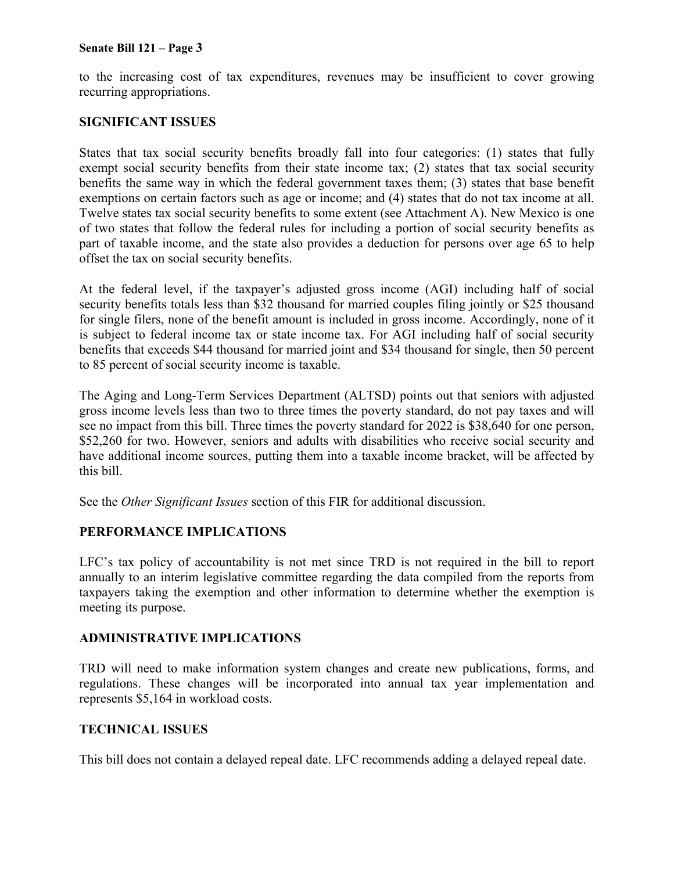to the increasing cost of tax expenditures, revenues may be insufficient to cover growing recurring appropriations.

### **SIGNIFICANT ISSUES**

States that tax social security benefits broadly fall into four categories: (1) states that fully exempt social security benefits from their state income tax; (2) states that tax social security benefits the same way in which the federal government taxes them; (3) states that base benefit exemptions on certain factors such as age or income; and (4) states that do not tax income at all. Twelve states tax social security benefits to some extent (see Attachment A). New Mexico is one of two states that follow the federal rules for including a portion of social security benefits as part of taxable income, and the state also provides a deduction for persons over age 65 to help offset the tax on social security benefits.

At the federal level, if the taxpayer's adjusted gross income (AGI) including half of social security benefits totals less than \$32 thousand for married couples filing jointly or \$25 thousand for single filers, none of the benefit amount is included in gross income. Accordingly, none of it is subject to federal income tax or state income tax. For AGI including half of social security benefits that exceeds \$44 thousand for married joint and \$34 thousand for single, then 50 percent to 85 percent of social security income is taxable.

The Aging and Long-Term Services Department (ALTSD) points out that seniors with adjusted gross income levels less than two to three times the poverty standard, do not pay taxes and will see no impact from this bill. Three times the poverty standard for 2022 is \$38,640 for one person, \$52,260 for two. However, seniors and adults with disabilities who receive social security and have additional income sources, putting them into a taxable income bracket, will be affected by this bill.

See the *Other Significant Issues* section of this FIR for additional discussion.

### **PERFORMANCE IMPLICATIONS**

LFC's tax policy of accountability is not met since TRD is not required in the bill to report annually to an interim legislative committee regarding the data compiled from the reports from taxpayers taking the exemption and other information to determine whether the exemption is meeting its purpose.

### **ADMINISTRATIVE IMPLICATIONS**

TRD will need to make information system changes and create new publications, forms, and regulations. These changes will be incorporated into annual tax year implementation and represents \$5,164 in workload costs.

### **TECHNICAL ISSUES**

This bill does not contain a delayed repeal date. LFC recommends adding a delayed repeal date.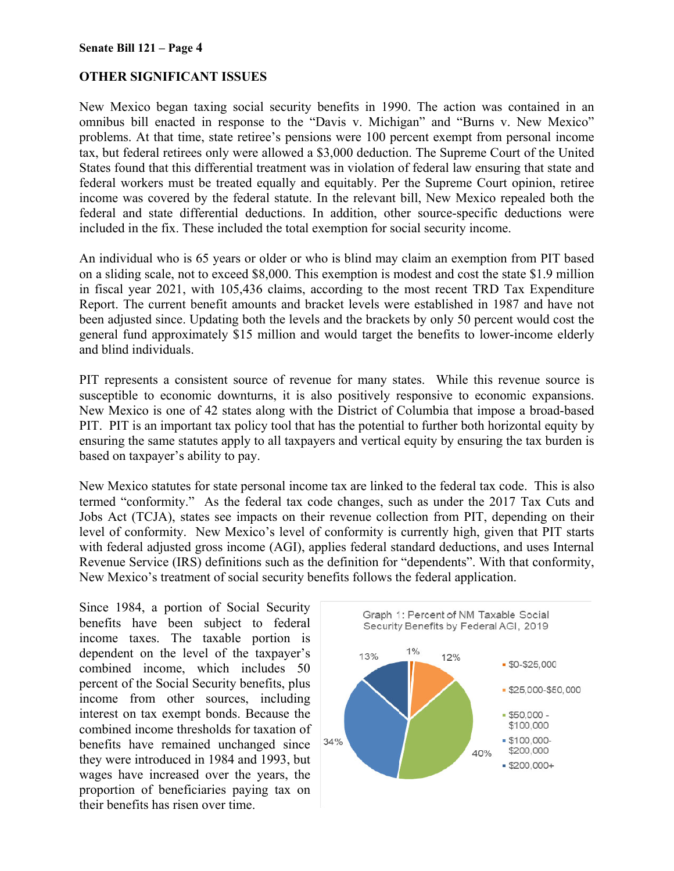### **OTHER SIGNIFICANT ISSUES**

New Mexico began taxing social security benefits in 1990. The action was contained in an omnibus bill enacted in response to the "Davis v. Michigan" and "Burns v. New Mexico" problems. At that time, state retiree's pensions were 100 percent exempt from personal income tax, but federal retirees only were allowed a \$3,000 deduction. The Supreme Court of the United States found that this differential treatment was in violation of federal law ensuring that state and federal workers must be treated equally and equitably. Per the Supreme Court opinion, retiree income was covered by the federal statute. In the relevant bill, New Mexico repealed both the federal and state differential deductions. In addition, other source-specific deductions were included in the fix. These included the total exemption for social security income.

An individual who is 65 years or older or who is blind may claim an exemption from PIT based on a sliding scale, not to exceed \$8,000. This exemption is modest and cost the state \$1.9 million in fiscal year 2021, with 105,436 claims, according to the most recent TRD Tax Expenditure Report. The current benefit amounts and bracket levels were established in 1987 and have not been adjusted since. Updating both the levels and the brackets by only 50 percent would cost the general fund approximately \$15 million and would target the benefits to lower-income elderly and blind individuals.

PIT represents a consistent source of revenue for many states. While this revenue source is susceptible to economic downturns, it is also positively responsive to economic expansions. New Mexico is one of 42 states along with the District of Columbia that impose a broad-based PIT. PIT is an important tax policy tool that has the potential to further both horizontal equity by ensuring the same statutes apply to all taxpayers and vertical equity by ensuring the tax burden is based on taxpayer's ability to pay.

New Mexico statutes for state personal income tax are linked to the federal tax code. This is also termed "conformity." As the federal tax code changes, such as under the 2017 Tax Cuts and Jobs Act (TCJA), states see impacts on their revenue collection from PIT, depending on their level of conformity. New Mexico's level of conformity is currently high, given that PIT starts with federal adjusted gross income (AGI), applies federal standard deductions, and uses Internal Revenue Service (IRS) definitions such as the definition for "dependents". With that conformity, New Mexico's treatment of social security benefits follows the federal application.

Since 1984, a portion of Social Security benefits have been subject to federal income taxes. The taxable portion is dependent on the level of the taxpayer's combined income, which includes 50 percent of the Social Security benefits, plus income from other sources, including interest on tax exempt bonds. Because the combined income thresholds for taxation of benefits have remained unchanged since they were introduced in 1984 and 1993, but wages have increased over the years, the proportion of beneficiaries paying tax on their benefits has risen over time.

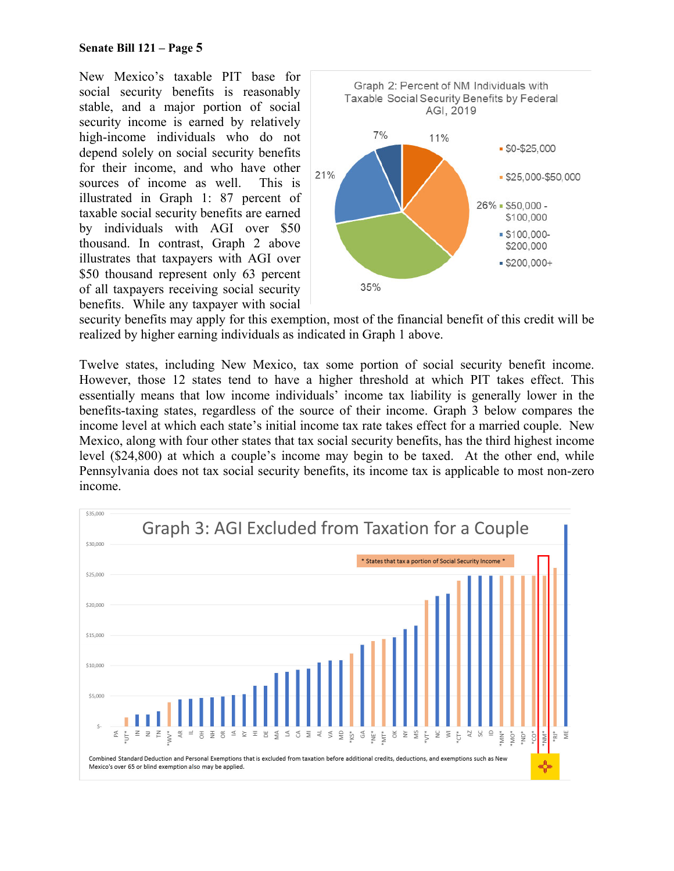New Mexico's taxable PIT base for social security benefits is reasonably stable, and a major portion of social security income is earned by relatively high-income individuals who do not depend solely on social security benefits for their income, and who have other sources of income as well. This is illustrated in Graph 1: 87 percent of taxable social security benefits are earned by individuals with AGI over \$50 thousand. In contrast, Graph 2 above illustrates that taxpayers with AGI over \$50 thousand represent only 63 percent of all taxpayers receiving social security benefits. While any taxpayer with social



security benefits may apply for this exemption, most of the financial benefit of this credit will be realized by higher earning individuals as indicated in Graph 1 above.

Twelve states, including New Mexico, tax some portion of social security benefit income. However, those 12 states tend to have a higher threshold at which PIT takes effect. This essentially means that low income individuals' income tax liability is generally lower in the benefits-taxing states, regardless of the source of their income. Graph 3 below compares the income level at which each state's initial income tax rate takes effect for a married couple. New Mexico, along with four other states that tax social security benefits, has the third highest income level (\$24,800) at which a couple's income may begin to be taxed. At the other end, while Pennsylvania does not tax social security benefits, its income tax is applicable to most non-zero income.

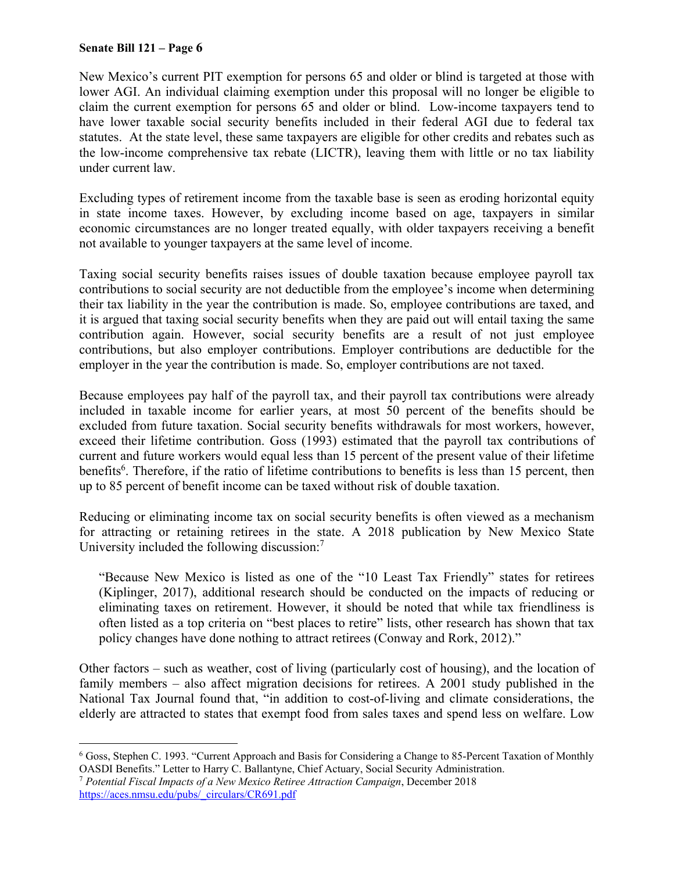<u>.</u>

New Mexico's current PIT exemption for persons 65 and older or blind is targeted at those with lower AGI. An individual claiming exemption under this proposal will no longer be eligible to claim the current exemption for persons 65 and older or blind. Low-income taxpayers tend to have lower taxable social security benefits included in their federal AGI due to federal tax statutes. At the state level, these same taxpayers are eligible for other credits and rebates such as the low-income comprehensive tax rebate (LICTR), leaving them with little or no tax liability under current law.

Excluding types of retirement income from the taxable base is seen as eroding horizontal equity in state income taxes. However, by excluding income based on age, taxpayers in similar economic circumstances are no longer treated equally, with older taxpayers receiving a benefit not available to younger taxpayers at the same level of income.

Taxing social security benefits raises issues of double taxation because employee payroll tax contributions to social security are not deductible from the employee's income when determining their tax liability in the year the contribution is made. So, employee contributions are taxed, and it is argued that taxing social security benefits when they are paid out will entail taxing the same contribution again. However, social security benefits are a result of not just employee contributions, but also employer contributions. Employer contributions are deductible for the employer in the year the contribution is made. So, employer contributions are not taxed.

Because employees pay half of the payroll tax, and their payroll tax contributions were already included in taxable income for earlier years, at most 50 percent of the benefits should be excluded from future taxation. Social security benefits withdrawals for most workers, however, exceed their lifetime contribution. Goss (1993) estimated that the payroll tax contributions of current and future workers would equal less than 15 percent of the present value of their lifetime benefits<sup>6</sup>. Therefore, if the ratio of lifetime contributions to benefits is less than 15 percent, then up to 85 percent of benefit income can be taxed without risk of double taxation.

Reducing or eliminating income tax on social security benefits is often viewed as a mechanism for attracting or retaining retirees in the state. A 2018 publication by New Mexico State University included the following discussion:<sup>7</sup>

"Because New Mexico is listed as one of the "10 Least Tax Friendly" states for retirees (Kiplinger, 2017), additional research should be conducted on the impacts of reducing or eliminating taxes on retirement. However, it should be noted that while tax friendliness is often listed as a top criteria on "best places to retire" lists, other research has shown that tax policy changes have done nothing to attract retirees (Conway and Rork, 2012)."

Other factors – such as weather, cost of living (particularly cost of housing), and the location of family members – also affect migration decisions for retirees. A 2001 study published in the National Tax Journal found that, "in addition to cost-of-living and climate considerations, the elderly are attracted to states that exempt food from sales taxes and spend less on welfare. Low

<sup>6</sup> Goss, Stephen C. 1993. "Current Approach and Basis for Considering a Change to 85-Percent Taxation of Monthly OASDI Benefits." Letter to Harry C. Ballantyne, Chief Actuary, Social Security Administration. 7 *Potential Fiscal Impacts of a New Mexico Retiree Attraction Campaign*, December 2018

https://aces.nmsu.edu/pubs/\_circulars/CR691.pdf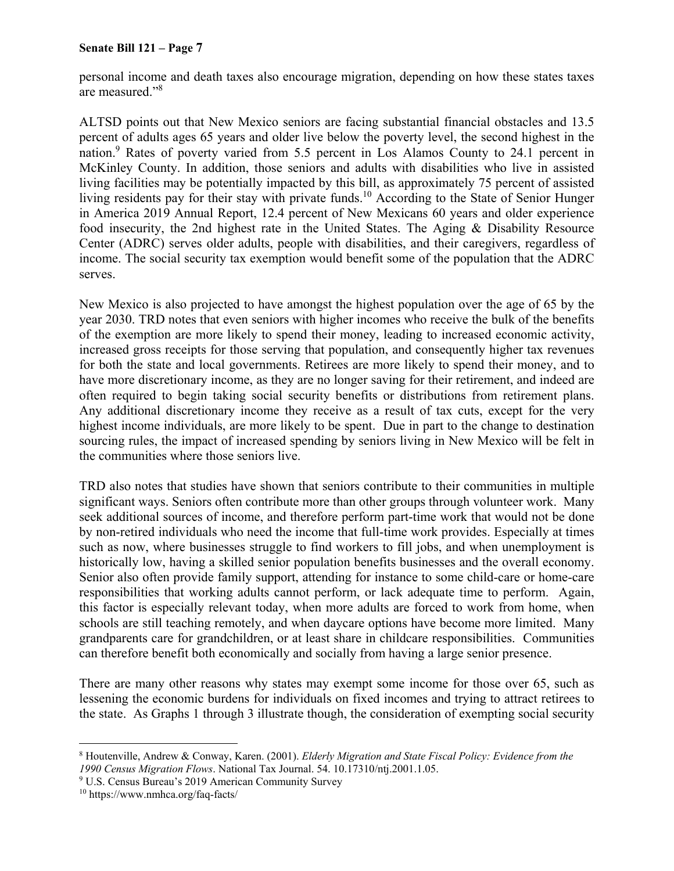personal income and death taxes also encourage migration, depending on how these states taxes are measured."<sup>8</sup>

ALTSD points out that New Mexico seniors are facing substantial financial obstacles and 13.5 percent of adults ages 65 years and older live below the poverty level, the second highest in the nation.<sup>9</sup> Rates of poverty varied from 5.5 percent in Los Alamos County to 24.1 percent in McKinley County. In addition, those seniors and adults with disabilities who live in assisted living facilities may be potentially impacted by this bill, as approximately 75 percent of assisted living residents pay for their stay with private funds.<sup>10</sup> According to the State of Senior Hunger in America 2019 Annual Report, 12.4 percent of New Mexicans 60 years and older experience food insecurity, the 2nd highest rate in the United States. The Aging & Disability Resource Center (ADRC) serves older adults, people with disabilities, and their caregivers, regardless of income. The social security tax exemption would benefit some of the population that the ADRC serves.

New Mexico is also projected to have amongst the highest population over the age of 65 by the year 2030. TRD notes that even seniors with higher incomes who receive the bulk of the benefits of the exemption are more likely to spend their money, leading to increased economic activity, increased gross receipts for those serving that population, and consequently higher tax revenues for both the state and local governments. Retirees are more likely to spend their money, and to have more discretionary income, as they are no longer saving for their retirement, and indeed are often required to begin taking social security benefits or distributions from retirement plans. Any additional discretionary income they receive as a result of tax cuts, except for the very highest income individuals, are more likely to be spent. Due in part to the change to destination sourcing rules, the impact of increased spending by seniors living in New Mexico will be felt in the communities where those seniors live.

TRD also notes that studies have shown that seniors contribute to their communities in multiple significant ways. Seniors often contribute more than other groups through volunteer work. Many seek additional sources of income, and therefore perform part-time work that would not be done by non-retired individuals who need the income that full-time work provides. Especially at times such as now, where businesses struggle to find workers to fill jobs, and when unemployment is historically low, having a skilled senior population benefits businesses and the overall economy. Senior also often provide family support, attending for instance to some child-care or home-care responsibilities that working adults cannot perform, or lack adequate time to perform. Again, this factor is especially relevant today, when more adults are forced to work from home, when schools are still teaching remotely, and when daycare options have become more limited. Many grandparents care for grandchildren, or at least share in childcare responsibilities. Communities can therefore benefit both economically and socially from having a large senior presence.

There are many other reasons why states may exempt some income for those over 65, such as lessening the economic burdens for individuals on fixed incomes and trying to attract retirees to the state. As Graphs 1 through 3 illustrate though, the consideration of exempting social security

 $\overline{a}$ 

<sup>8</sup> Houtenville, Andrew & Conway, Karen. (2001). *Elderly Migration and State Fiscal Policy: Evidence from the 1990 Census Migration Flows*. National Tax Journal. 54. 10.17310/ntj.2001.1.05. 9

U.S. Census Bureau's 2019 American Community Survey

<sup>10</sup> https://www.nmhca.org/faq-facts/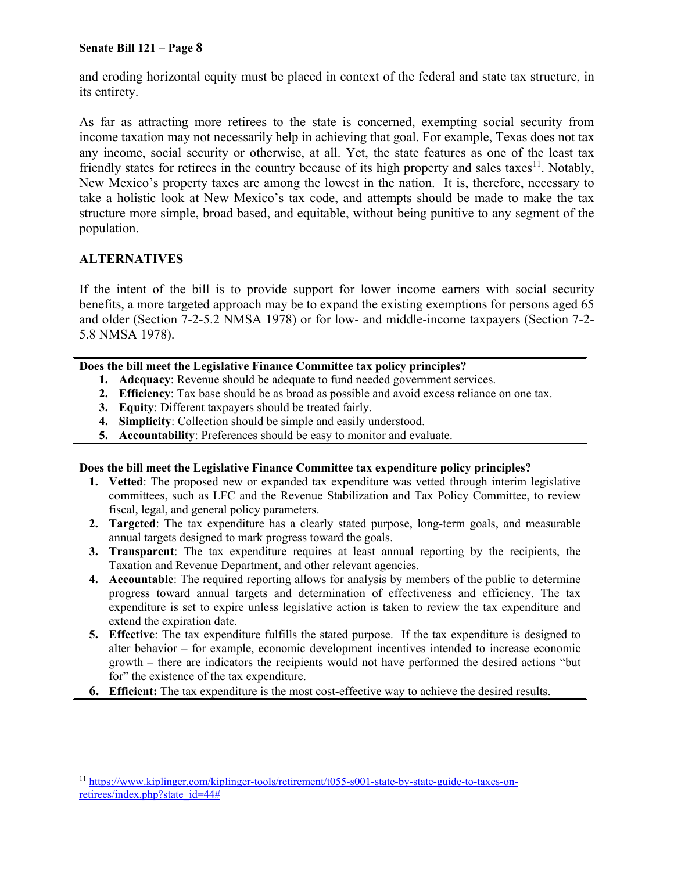and eroding horizontal equity must be placed in context of the federal and state tax structure, in its entirety.

As far as attracting more retirees to the state is concerned, exempting social security from income taxation may not necessarily help in achieving that goal. For example, Texas does not tax any income, social security or otherwise, at all. Yet, the state features as one of the least tax friendly states for retirees in the country because of its high property and sales taxes<sup>11</sup>. Notably, New Mexico's property taxes are among the lowest in the nation. It is, therefore, necessary to take a holistic look at New Mexico's tax code, and attempts should be made to make the tax structure more simple, broad based, and equitable, without being punitive to any segment of the population.

### **ALTERNATIVES**

If the intent of the bill is to provide support for lower income earners with social security benefits, a more targeted approach may be to expand the existing exemptions for persons aged 65 and older (Section 7-2-5.2 NMSA 1978) or for low- and middle-income taxpayers (Section 7-2- 5.8 NMSA 1978).

### **Does the bill meet the Legislative Finance Committee tax policy principles?**

- **1. Adequacy**: Revenue should be adequate to fund needed government services.
- **2. Efficiency**: Tax base should be as broad as possible and avoid excess reliance on one tax.
- **3. Equity**: Different taxpayers should be treated fairly.
- **4. Simplicity**: Collection should be simple and easily understood.
- **5. Accountability**: Preferences should be easy to monitor and evaluate.

#### **Does the bill meet the Legislative Finance Committee tax expenditure policy principles?**

- **1. Vetted**: The proposed new or expanded tax expenditure was vetted through interim legislative committees, such as LFC and the Revenue Stabilization and Tax Policy Committee, to review fiscal, legal, and general policy parameters.
- **2. Targeted**: The tax expenditure has a clearly stated purpose, long-term goals, and measurable annual targets designed to mark progress toward the goals.
- **3. Transparent**: The tax expenditure requires at least annual reporting by the recipients, the Taxation and Revenue Department, and other relevant agencies.
- **4. Accountable**: The required reporting allows for analysis by members of the public to determine progress toward annual targets and determination of effectiveness and efficiency. The tax expenditure is set to expire unless legislative action is taken to review the tax expenditure and extend the expiration date.
- **5. Effective**: The tax expenditure fulfills the stated purpose. If the tax expenditure is designed to alter behavior – for example, economic development incentives intended to increase economic growth – there are indicators the recipients would not have performed the desired actions "but for" the existence of the tax expenditure.
- **6. Efficient:** The tax expenditure is the most cost-effective way to achieve the desired results.

 $\overline{a}$ <sup>11</sup> https://www.kiplinger.com/kiplinger-tools/retirement/t055-s001-state-by-state-guide-to-taxes-onretirees/index.php?state\_id=44#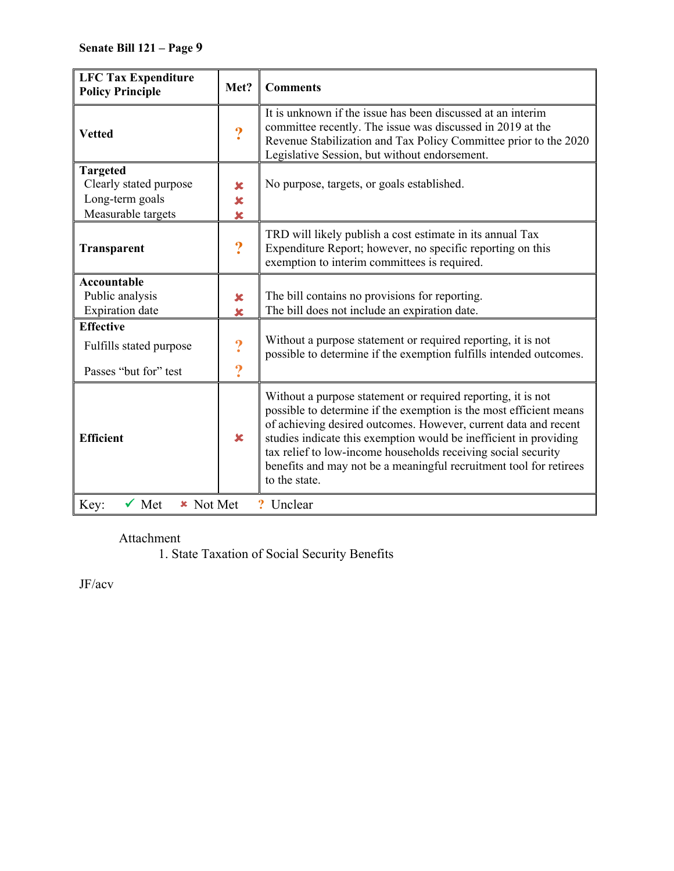| <b>LFC Tax Expenditure</b><br><b>Policy Principle</b>                              | Met?                                        | <b>Comments</b>                                                                                                                                                                                                                                                                                                                                                                                                                    |  |  |
|------------------------------------------------------------------------------------|---------------------------------------------|------------------------------------------------------------------------------------------------------------------------------------------------------------------------------------------------------------------------------------------------------------------------------------------------------------------------------------------------------------------------------------------------------------------------------------|--|--|
| <b>Vetted</b>                                                                      | $\ddot{\mathbf{?}}$                         | It is unknown if the issue has been discussed at an interim<br>committee recently. The issue was discussed in 2019 at the<br>Revenue Stabilization and Tax Policy Committee prior to the 2020<br>Legislative Session, but without endorsement.                                                                                                                                                                                     |  |  |
| <b>Targeted</b><br>Clearly stated purpose<br>Long-term goals<br>Measurable targets | $\mathbf x$<br>$\overline{\mathbf{x}}$<br>× | No purpose, targets, or goals established.                                                                                                                                                                                                                                                                                                                                                                                         |  |  |
| Transparent                                                                        | $\boldsymbol{?}$                            | TRD will likely publish a cost estimate in its annual Tax<br>Expenditure Report; however, no specific reporting on this<br>exemption to interim committees is required.                                                                                                                                                                                                                                                            |  |  |
| <b>Accountable</b><br>Public analysis<br><b>Expiration</b> date                    | ×<br>×                                      | The bill contains no provisions for reporting.<br>The bill does not include an expiration date.                                                                                                                                                                                                                                                                                                                                    |  |  |
| <b>Effective</b><br>Fulfills stated purpose<br>Passes "but for" test               | $\boldsymbol{?}$<br>$\overline{\mathbf{?}}$ | Without a purpose statement or required reporting, it is not<br>possible to determine if the exemption fulfills intended outcomes.                                                                                                                                                                                                                                                                                                 |  |  |
| <b>Efficient</b>                                                                   | $\mathbf x$                                 | Without a purpose statement or required reporting, it is not<br>possible to determine if the exemption is the most efficient means<br>of achieving desired outcomes. However, current data and recent<br>studies indicate this exemption would be inefficient in providing<br>tax relief to low-income households receiving social security<br>benefits and may not be a meaningful recruitment tool for retirees<br>to the state. |  |  |
| Key:<br>$\checkmark$ Met<br><b>*</b> Not Met<br>? Unclear                          |                                             |                                                                                                                                                                                                                                                                                                                                                                                                                                    |  |  |

Attachment

1. State Taxation of Social Security Benefits

JF/acv